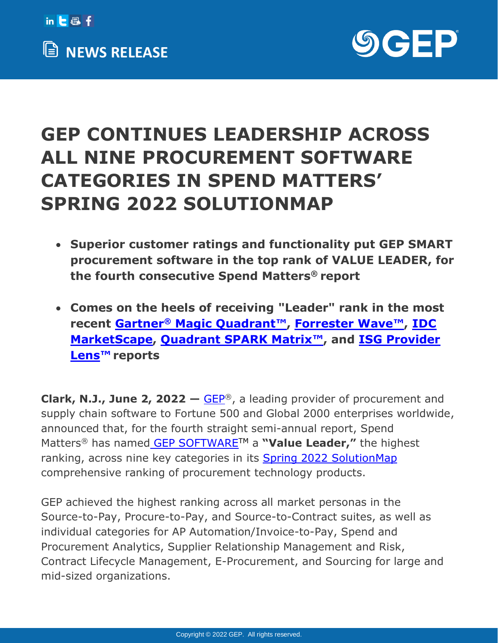



## **GEP CONTINUES LEADERSHIP ACROSS ALL NINE PROCUREMENT SOFTWARE CATEGORIES IN SPEND MATTERS' SPRING 2022 SOLUTIONMAP**

- **Superior customer ratings and functionality put GEP SMART procurement software in the top rank of VALUE LEADER, for the fourth consecutive Spend Matters® report**
- **Comes on the heels of receiving "Leader" rank in the most recent Gartner® [Magic Quadrant](https://www.gep.com/research-reports/gartner-again-names-gep-a-leader-on-the-2021-magic-quadrant-for-procure-to-pay-suites)™ , [Forrester Wave](https://www.gep.com/research-reports/gep-named-a-leader-for-procurement-contract-lifecycle-management-software)™ , [IDC](https://www.gep.com/idc-marketscape-2021)  [MarketScape,](https://www.gep.com/idc-marketscape-2021) [Quadrant SPARK Matrix](https://www.gep.com/research-reports/gep-is-a-leader-in-spark-matrix-procure-to-pay-p2p-2021)™, and [ISG Provider](https://www.gep.com/research-reports/gep-leads-the-way-in-procurement-bpo-and-transformation-services)  [Lens](https://www.gep.com/research-reports/gep-leads-the-way-in-procurement-bpo-and-transformation-services)™ reports**

**Clark, N.J., June 2, 2022 —** [GEP](http://www.gep.com/)®, a leading provider of procurement and supply chain software to Fortune 500 and Global 2000 enterprises worldwide, announced that, for the fourth straight semi-annual report, Spend Matters® has named [GEP SOFTWARE](https://www.gep.com/software)TM a **"Value Leader,"** the highest ranking, across nine key categories in its Spring 2022 [SolutionMap](https://spendmatters.com/solutionmap) comprehensive ranking of procurement technology products.

GEP achieved the highest ranking across all market personas in the Source-to-Pay, Procure-to-Pay, and Source-to-Contract suites, as well as individual categories for AP Automation/Invoice-to-Pay, Spend and Procurement Analytics, Supplier Relationship Management and Risk, Contract Lifecycle Management, E-Procurement, and Sourcing for large and mid-sized organizations.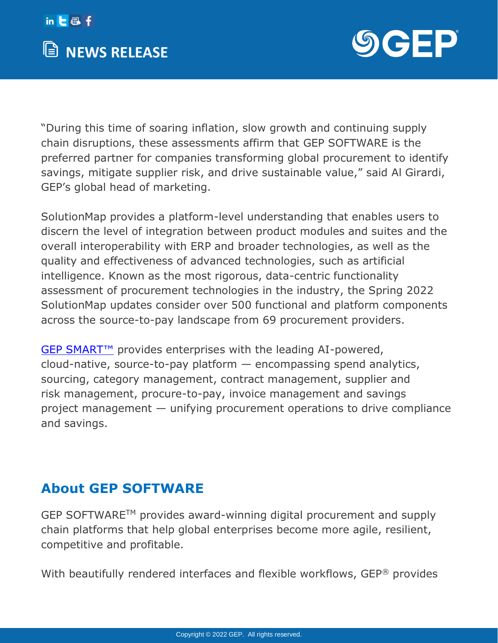



"During this time of soaring inflation, slow growth and continuing supply chain disruptions, these assessments affirm that GEP SOFTWARE is the preferred partner for companies transforming global procurement to identify savings, mitigate supplier risk, and drive sustainable value," said Al Girardi, GEP's global head of marketing.

SolutionMap provides a platform-level understanding that enables users to discern the level of integration between product modules and suites and the overall interoperability with ERP and broader technologies, as well as the quality and effectiveness of advanced technologies, such as artificial intelligence. Known as the most rigorous, data-centric functionality assessment of procurement technologies in the industry, the Spring 2022 SolutionMap updates consider over 500 functional and platform components across the source-to-pay landscape from 69 procurement providers.

[GEP SMART](https://www.gep.com/software/gep-smart)™ provides enterprises with the leading AI-powered, cloud-native, source-to-pay platform — encompassing spend analytics, sourcing, category management, contract management, supplier and risk management, procure-to-pay, invoice management and savings project management — unifying procurement operations to drive compliance and savings.

## **About GEP SOFTWARE**

GEP SOFTWARETM provides award-winning digital procurement and supply chain platforms that help global enterprises become more agile, resilient, competitive and profitable.

With beautifully rendered interfaces and flexible workflows, GEP® provides